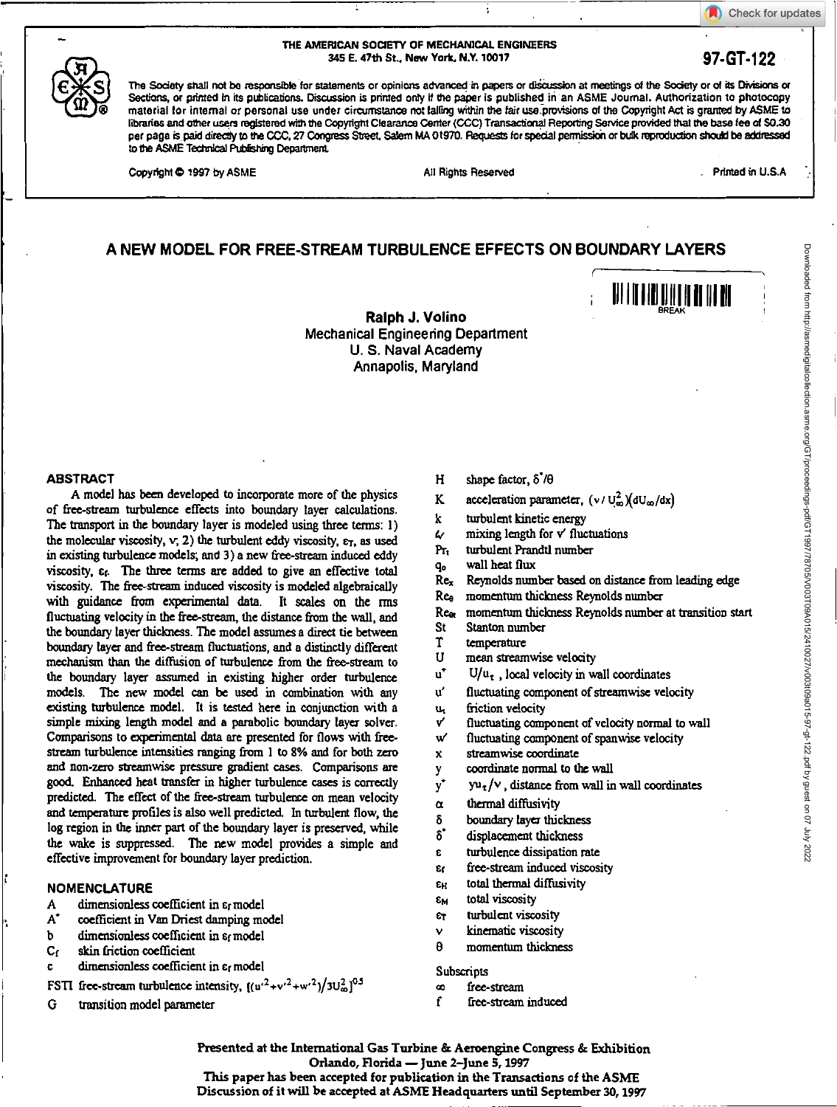Check for updates

### THE AMERICAN SOCIETY OF MECHANICAL ENGINEERS 345 E. 47th St., New York. NY. 10017 **97-GT-122**

The Society shall not be responsible for statements or opinions advanced in papers or discussion at meetings of the Society or of its Divisions or Sections, or primed in its publications. Discussion is primed only if the paper is published in an ASME Journal. Authorization to photocopy material for internal or personal use under circumstance not tailing within the *fair* use-provisions of the Copyright Act is granted by ASME to libraries and other users registered with the Copyright Clearance Center (CCC) Transactional Reporting Service provided that the base *fee* of 50.30 per page is paid directly to the CCC, 27 Congress Street, Salem MA 01970. Requests for special permission or bulk reproduction should be addressed to the *ASME* Tedinkal Pubfishing Department

Copyright © 1997 by ASME **All Rights Reserved** . Printed in U.S.A

 $\ddot{\phantom{a}}$ 

Downloaded from http://asmedigitalcollection.asme.org/GT/proceedings-pdf/GT1997/78705/V003T09A015/2410027/v003t09a015-97-gt-122.pdf by guest on 07 July 2022

11111111<u>1111111111111</u>

# **A NEW MODEL FOR FREE-STREAM TURBULENCE EFFECTS ON BOUNDARY LAYERS**

**Ralph J. Volino**  Mechanical Engineering Department U. S. Naval Academy Annapolis, Maryland

#### **ABSTRACT**

**A** model has been developed to incorporate more of the physics of free-stream turbulence effects into boundary layer calculations. The transport in the boundary layer is modeled using three terms: 1) the molecular viscosity,  $v$ , 2) the turbulent eddy viscosity,  $\varepsilon_T$ , as used in existing turbulence models; and 3) a new free-stream induced eddy viscosity,  $\varepsilon$ <sub>f</sub>. The three terms are added to give an effective total viscosity. The free-stream induced viscosity is modeled algebraically with guidance from experimental data. It scales on the rms fluctuating velocity in the free-stream, the distance from the wall, and the boundary layer thickness. The model assumes a direct tie between boundary layer and free-stream fluctuations, and a distinctly different mechanism than the diffusion of turbulence from the free-stream to the boundary layer assumed in existing higher order turbulence models. The new model can be used in combination with any existing turbulence model. It is tested here in conjunction with a simple mixing length model and a parabolic boundary layer solver, Comparisons to experimental data are presented for flows with freestream turbulence intensities ranging from 1 to 8% and for both zero and non-zero streamwise pressure gradient cases. Comparisons are good. Enhanced heat transfer in higher turbulence cases is correctly predicted. The effect of *the free-stream* turbulence on mean velocity and temperature profiles is also well predicted. In turbulent flow, the log region in the inner part of the boundary layer is preserved, while the wake is suppressed. The new model provides a simple and *effective* improvement for boundary layer prediction.

### **NOMENCLATURE**

- A dimensionless coefficient in cr model
- At coefficient in Van Driest damping model
- b dimensionless coefficient in  $\varepsilon_f$  model<br>C<sub>f</sub> skin friction coefficient
- skin friction coefficient
- dimensionless coefficient in  $\varepsilon_f$  model
- FSTI free-stream turbulence intensity,  $((u'^2 + v'^2 + w'^2)/3U_\infty^2)^{0.5}$
- G transition model parameter
- H shape factor,  $\delta^7/\theta$
- K acceleration parameter,  $(v / U_{\infty}^2)(dU_{\infty}/dx)$
- k turbulent kinetic energy
- $\mathcal{L}$  mixing length for  $v'$  fluctuations
- Pr, turbulent Prandtl number
- q<sub>o</sub> wall heat flux<br>Re<sub>x</sub> Reynolds num
- Reynolds number based on distance from leading edge
- Ree momentum thickness Reynolds number
- Rea momentum thickness Reynolds number at transition start
- St Stanton number
- T temperature<br>U mean stream
- mean streamwise velocity
- $u^*$   $U/u_{\tau}$ , local velocity in wall coordinates
- u' fluctuating component of streamwise velocity
- **U./** friction velocity
- ✓ fluctuating component of velocity normal to wall
- w fluctuating component of spanwise velocity
- x streamwise coordinate
- y coordinate normal to the wall
- ٧,  $yu_{\tau}/v$ , distance from wall in wall coordinates
- $\alpha$  thermal diffusivity
- δ boundary layer thickness
- 8. displacement thickness
- c turbulence dissipation rate
- Cr free-stream induced viscosity
- *EH* total thermal diffusivity
- **CM** total viscosity
- er turbulent viscosity
- kinematic viscosity Ÿ
- θ momentum thickness
- Subscripts
- co free-stream
- f free-stream induced

Presented at the International Gas Turbine & Aeroengine Congress & Exhibition **Orlando, Florida — June 2–June 5, 1997 This paper has been accepted for publication in the Transactions of the ASME** 

**Discussion of it will be accepted at ASME Headquarters until September 30, 1997**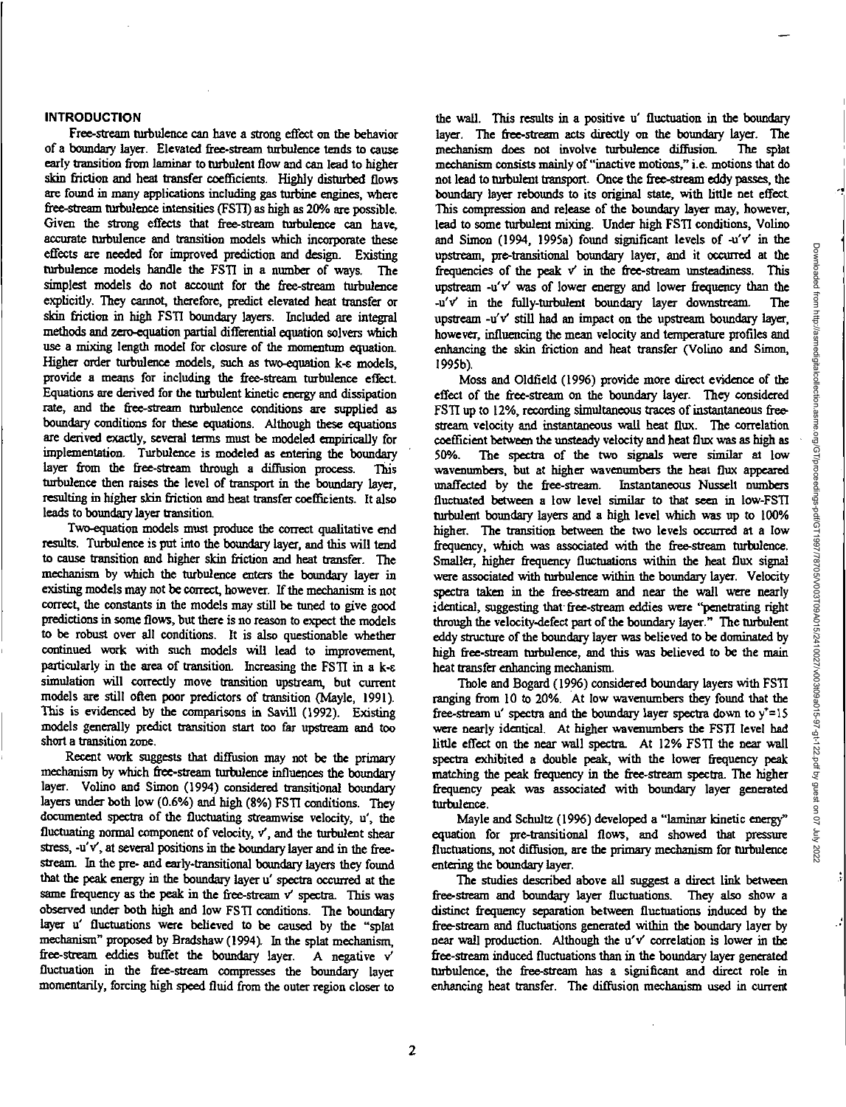# **INTRODUCTION**

Free-stream turbulence can have a strong effect on the behavior of a boundary layer. Elevated free-stream turbulence tends to cause early transition from laminar to turbulent flow and can lead to higher skin friction and heat transfer coefficients. Highly disturbed flows are found in many applications including gas turbine engines, where free-stream turbulence intensities (F511) as high as 20% are possible. Given the strong effects that free-stream turbulence can have, accurate turbulence and transition models which incorporate these effects are needed for improved prediction and design. Existing turbulence models handle the FSTI in a number of ways. The simplest models do not account for the free-stream turbulence explicitly. They cannot, therefore, predict elevated heat transfer or skin friction in high FSTI boundary layers. Included are integral methods and zero-equation partial differential equation solvers which use a mixing length model for closure of the momentum equation. Higher order turbulence models, such as two-equation k- $\epsilon$  models, provide a means for including the free-stream turbulence effect. Equations are derived for the turbulent kinetic energy and dissipation rate, and the free-stream turbulence conditions are supplied as boundary conditions for these equations. Although these equations are derived exactly, several terms must be modeled empirically for implementation. Turbulence is modeled as entering the boundary layer from the free-stream through a diffusion process. This turbulence then raises the level of transport in the boundary layer, resulting in higher skin friction and heat transfer coefficients. It also leads to boundary layer transition.

Two-equation models must produce the correct qualitative end results. Turbulence is put into the boundary layer, and this will tend to cause transition and higher skin friction and heat transfer. The mechanism by which the turbulence enters the boundary layer in existing models may not be correct, however. If the mechanism is not correct, the constants in the models may still be tuned to give good predictions in some flows, but there is no reason to expect the models to be robust over all conditions. It is also questionable whether continued work with such models will lead to improvement, particularly in the area of transition. Increasing the FSTI in a k-c simulation will correctly move transition upstream, but current models are still often poor predictors of transition (Mayle, 1991). This is evidenced by the comparisons in Savill (1992). Existing models generally predict transition start too far upstream and too short a transition zone.

Recent work suggests that diffusion may not *be* the primary mechanism by which free-stream turbulence influences the boundary layer. Volino and Simon (1994) considered transitional boundary layers under both low (0.6%) and high (8%) FSTI conditions. They documented spectra of the fluctuating streamwise velocity, u', the fluctuating normal component of velocity,  $v'$ , and the turbulent shear stress, -u'v', at several positions in the boundary layer and in the freestream. In the pre- and early-transitional boundary layers they found that the peak energy in the boundary layer u' spectra occurred at the same frequency as the peak in the free-stream v' spectra. This was observed under both high and low F511 conditions. The boundary layer u' fluctuations were believed to be caused by the "splat mechanism" proposed by Bradshaw (1994). In the splat mechanism, free-stream eddies buffet the boundary layer. A negative V fluctuation in the free-stream compresses the boundary layer momentarily, forcing high speed fluid from the outer region closer to

the wall. This results in a positive u' fluctuation in the boundary layer. The free-stream acts directly on the boundary layer. The mechanism does not involve turbulence diffusion. The splat mechanism consists mainly of "inactive motions," i.e. motions that do not lead to turbulent transport. Once the free-stream eddy passes, the boundary layer rebounds to its original state, with little net effect. This compression and release of the boundary layer may, however, lead to some turbulent mixing. Under high FSTI conditions, Volino and Simon (1994, 1995a) found significant levels of  $-u'v'$  in the upstream, pre-transitional boundary layer, and it occurred at the frequencies of the peak  $v'$  in the free-stream unsteadiness. This upstream  $-u'v'$  was of lower energy and lower frequency than the -u'v' in the filly-turbulent boundary layer downstream. The upstream  $-u'v'$  still had an impact on the upstream boundary layer, however, influencing the mean velocity and temperature profiles and enhancing the skin friction and heat transfer (Volino and Simon, 1995b).

Moss and Oldfield (1996) provide more direct evidence of the effect of the free-stream on the boundary layer. They considered FSTI up to 12%, recording simultaneous traces of instantaneous freestream velocity and instantaneous wall heat flux. The correlation coefficient between the unsteady velocity and heat flux was as high as 50%. The spectra of the two signals were similar at low wavenumbers, but at higher wavenumbers the heat flux appeared unaffected by the free-stream. Instantaneous Nusselt numbers fluctuated between a low level similar to that seen in low-FSTI turbulent boundary layers and a high level which was up to 100% higher. The transition between the two levels occurred at a low frequency, which was associated with the free-stream turbulence. Smaller, higher frequency fluctuations within the heat flux signal were associated with turbulence within the boundary layer. Velocity spectra taken in the free-stream and near the wall were nearly identical, suggesting that free-stream eddies were "penetrating right through the velocity-defect part of the boundary layer." The turbulent eddy structure of the boundary layer was believed to be dominated by high free-stream turbulence, and this was believed to be the main heat transfer enhancing mechanism.

Thole and Bogard (1996) considered boundary layers with FSTI ranging from 10 to 20%. At low wavenumbers they found that the free-stream u' spectra and the boundary layer spectra down to  $y' = 15$ were nearly identical. At higher wavenumbers the FSTI level had little effect on the near wall spectra. At 12% F511 the near wall spectra exhibited a double peak, with the lower frequency peak matching the peak frequency in the free-stream spectra. The higher frequency peak was associated with boundary layer generated turbulence.

Mayle and Schultz (19%) developed a "laminar kinetic energy" equation for pre-transitional flows, and showed that pressure fluctuations, not diffusion, are the primary mechanism for turbulence entering the boundary layer.

The studies described above all suggest a direct link between free-stream and boundary layer fluctuations. They also show a distinct frequency separation between fluctuations induced by the free-stream and fluctuations generated within the boundary layer by near wall production. Although the u'v' correlation is lower in the free-stream induced fluctuations than in the boundary layer generated turbulence, the free-stream has a significant and direct role in enhancing heat transfer. The diffusion mechanism used in current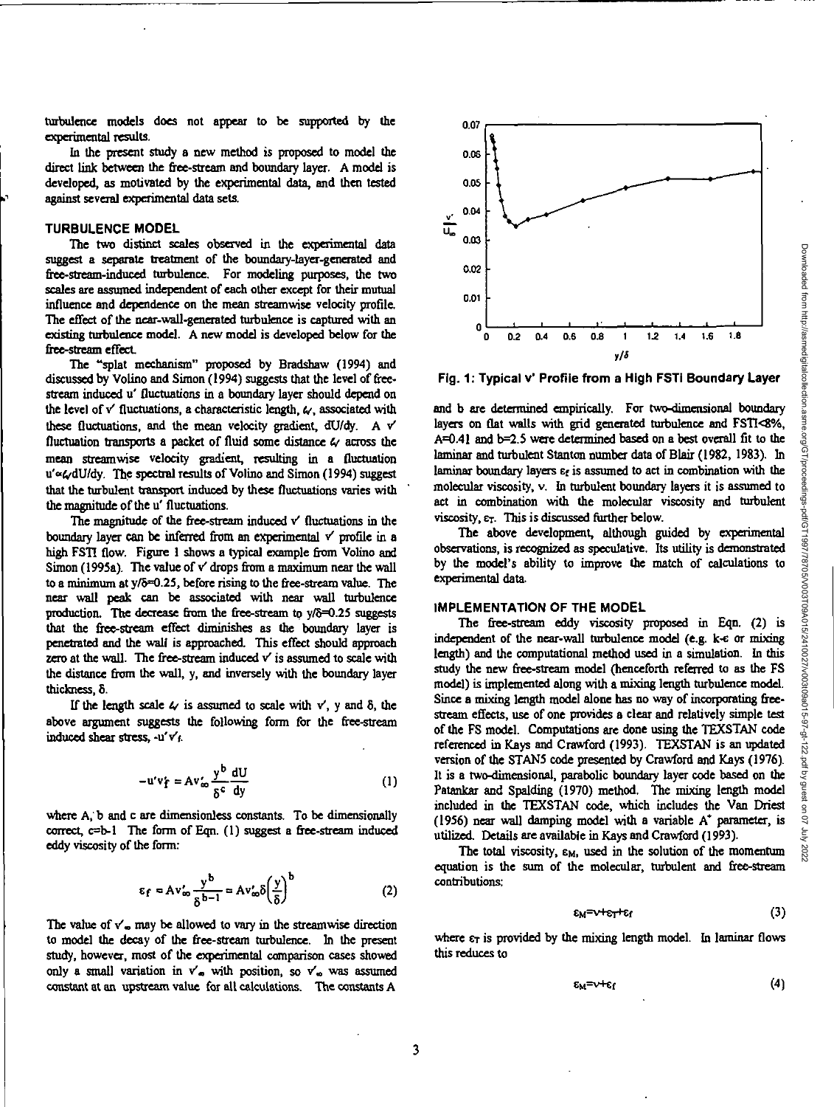turbulence models does not appear to be supported by the experimental results.

In the present study a new method is proposed to model the direct link between the free-stream and boundary layer. A model is developed, as motivated by the experimental data, and then tested against several experimental data sets.

#### **TURBULENCE MODEL**

The two distinct scales observed in the experimental data suggest a separate treatment of the boundary-layer-generated and free-stream-induced turbulence. For modeling purposes, the two scales are assumed independent of each other except for their mutual influence and dependence on the mean streamwise velocity profile. The effect of the near-wall-generated turbulence is captured with an existing turbulence model. A new model is developed below for the free-stream effect

The "splat mechanism" proposed by Bradshaw (1994) and discussed by Volino and Simon (1994) suggests that the level of freestream induced u' fluctuations in a boundary layer should depend on the level of  $v'$  fluctuations, a characteristic length,  $\omega$ , associated with these fluctuations, and the mean velocity gradient,  $dU/dy$ . A  $v'$ fluctuation transports a packet of fluid some distance *6'* across the mean streamwise velocity gradient, resulting in a fluctuation u'« $\omega$ dU/dy. The spectral results of Volino and Simon (1994) suggest that the turbulent transport induced by these fluctuations varies with the magnitude of the u' fluctuations.

The magnitude of the free-stream induced  $v'$  fluctuations in the boundary layer can be inferred from an experimental *V* profile in a high ESTI flow. Figure 1 shows a typical example from Volino and Simon (1995a). The value of v' drops from a maximum near the wall to a minimum at  $y/\delta = 0.25$ , before rising to the free-stream value. The near wall peak can be associated with near wall turbulence production. The decrease from the free-stream to  $\sqrt{8}$ =0.25 suggests that the free-stream effect diminishes as the boundary layer is penetrated and the wall is approached. This effect should approach zero at the wall. The free-stream induced  $v'$  is assumed to scale with the distance from the wall, y, and inversely with the boundary layer thickness, 8.

If the length scale  $4/$  is assumed to scale with  $v'$ , y and  $\delta$ , the above argument suggests the following form for the free-stream induced shear stress, -u'Vr.

$$
-u'v'_f = Av'_\infty \frac{y^b}{\delta^c} \frac{dU}{dy}
$$
 (1)

where A, b and c are dimensionless constants. To be dimensionally correct, c=b-1 The form of Eqn. (1) suggest a free-stream induced eddy viscosity of the form:

$$
\epsilon_f = Av'_{\infty} \frac{y^b}{\delta^{b-1}} = Av'_{\infty} \delta \left(\frac{y}{\delta}\right)^b \tag{2}
$$

The value of  $v'$ <sub>w</sub> may be allowed to vary in the streamwise direction to model the decay of the free-steam turbulence. In the present study, however, most of the experimental comparison cases showed only a small variation in  $v'_\infty$  with position, so  $v'_\infty$  was assumed constant at an upstream value for all calculations. The constants A



**Fig. 1: Typical v' Profile from a High FSTI Boundary Layer** 

and b are determined empirically. For two-dimensional boundary layers on flat walls with grid generated turbulence and FSTI<8%, A=0.41 and b=2.5 were determined based on a best overall fit to the laminar and turbulent Stanton number data of Blair (1982, 1983). In laminar boundary layers  $\varepsilon_f$  is assumed to act in combination with the molecular viscosity, v. In turbulent boundary layers it is assumed to act in combination with the molecular viscosity and turbulent viscosity,  $\varepsilon_T$ . This is discussed further below.

The above development, although guided by experimental observations, is recognized as speculative. Its utility is demonstrated by the model's ability to improve the match of calculations to experimental data.

### **IMPLEMENTATION OF THE MODEL**

The free-stream eddy viscosity proposed in Eqn. (2) is independent of the near-wall turbulence model (e.g. k-c or mixing length) and the computational method used in a simulation. In this study the new free-stream model (henceforth referred to as the FS model) is implemented along with a mixing length turbulence model. Since a mixing length model alone has no way of incorporating freestream effects, use of one provides a clear and relatively simple test of the FS model. Computations are done using the TEXSTAN code referenced in Kays and Crawford (1993). TEXSTAN is an updated version of the STAN5 code presented by Crawford and Kays (1976). It is a two-dimensional, parabolic boundary layer code based on the Patankar and Spalding (1970) method. The mixing length model included in the TEXSTAN code, which includes the Van Driest (1956) near wall damping model with a variable  $A^*$  parameter, is utilized. Details are available in Kays and Crawford (1993).

The total viscosity,  $\varepsilon_M$ , used in the solution of the momentum equation is the sum of the molecular, turbulent and free-stream contributions:

$$
\epsilon_{M} = \nu + \epsilon_{T} + \epsilon_{f} \tag{3}
$$

where  $\epsilon_T$  is provided by the mixing length model. In laminar flows this reduces to

$$
\epsilon_{\rm M} = v + \epsilon_{\rm f} \tag{4}
$$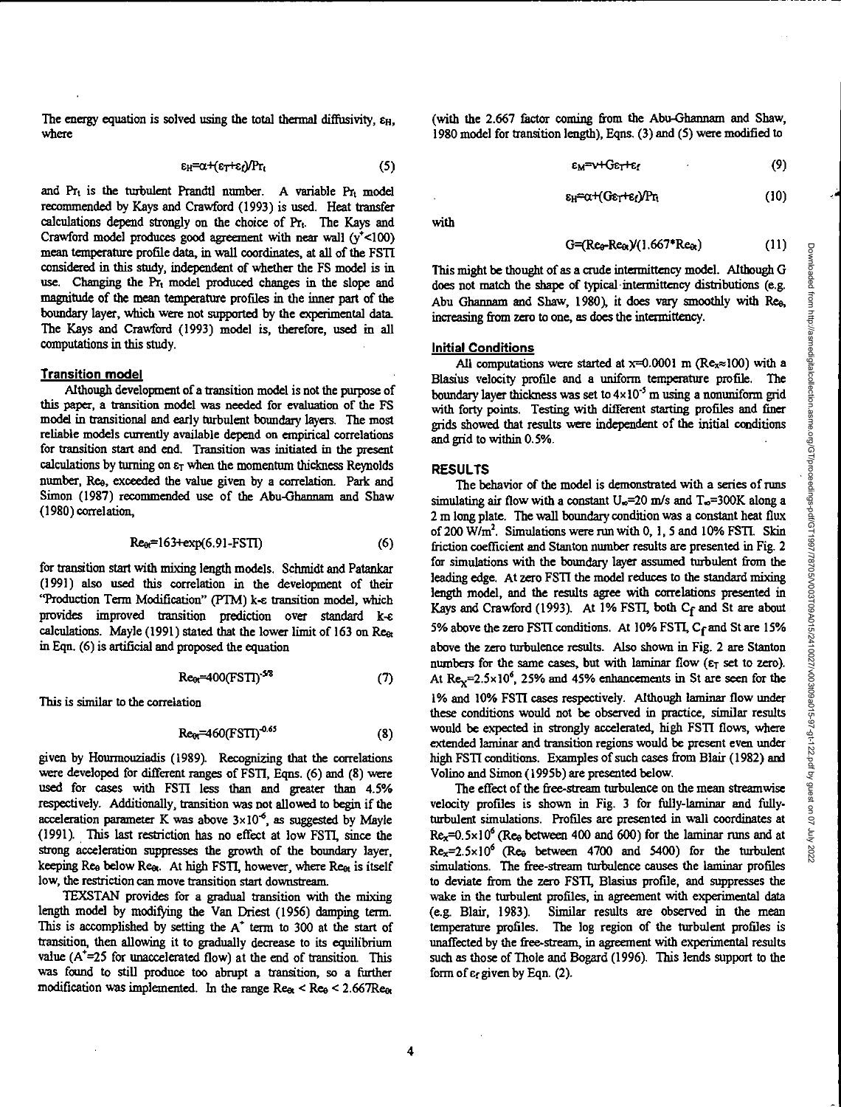where 1980 model for transition length), Eqns. (3) and (5) were modified to

$$
\varepsilon_{H} = \alpha + (\varepsilon_{T} + \varepsilon_{f})/Pr_{t}
$$
 (5)

and  $Pr_t$  is the turbulent Prandtl number. A variable  $Pr_t$  model recommended by Kays and Crawford (1993) is used. Heat transfer calculations depend strongly on the choice of  $Pr<sub>t</sub>$ . The Kays and Crawford model produces good agreement with near wall  $(y^+$ <100) mean temperature profile data, in wall coordinates, at all of the FSTI considered in this study, independent of whether the FS model is in use. Changing the  $Pr_t$  model produced changes in the slope and magnitude of the mean temperature profiles in the inner part of the boundary layer, which were not supported by the experimental data. The Kays and Crawford (1993) model is, therefore, used in all computations in this study.

### **Transition model**

Although development of a transition model is not the purpose of this paper, a transition model was needed for evaluation of the FS model in transitional and early turbulent boundary layers. The most reliable models currently available depend on empirical correlations for transition start and end. Transition was initiated in the present calculations by turning on er when the momentum thickness Reynolds number, Re<sub>9</sub>, exceeded the value given by a correlation. Park and Simon (1987) recommended use of the Abu-Ghannam and Shaw (1980) correlation,

$$
Re_{\theta r} = 163 + exp(6.91 - FSTI)
$$
 (6)

for transition start with mixing length models. Schmidt and Patankar (1991) also used this correlation in the development of their "Production Term Modification" (PTM) k-e transition model, which provides improved transition prediction over standard k-e calculations. Mayle (1991) stated that the lower limit of 163 on Rear in Eqn. (6) is artificial and proposed the equation

$$
Re_{\theta t} = 400(FSTI)^{5/8}
$$
 (7)

This is similar to the correlation

$$
\text{Re}_{\text{or}}=460(\text{FSTI})^{0.65} \tag{8}
$$

given by Hourmouziadis (1989). Recognizing that the correlations were developed for different ranges of FSTI, Eqns. (6) and (8) were used for cases with FSTI less than and greater than 4.5% respectively. Additionally, transition was not allowed to begin if the acceleration parameter K was above  $3 \times 10^{-6}$ , as suggested by Mayle (1991). This last restriction has no effect at low FSTI, since the strong acceleration suppresses the growth of the boundary layer, keeping Ree below Ree. At high FSTI, however, where Reet is itself low, the restriction can move transition start downstream.

TEXSTAN provides for a gradual transition with the mixing length model by modifying the Van Driest (1956) damping term. This is accomplished by setting the  $A^+$  term to 300 at the start of transition, then allowing it to gradually decrease to its equilibrium value  $(A^{\dagger}=25$  for unaccelerated flow) at the end of transition. This was found to still produce too abrupt a transition, so a further modification was implemented. In the range  $\text{Re}_{\alpha}$  <  $\text{Re}_{\theta}$  < 2.667 $\text{Re}_{\alpha}$ 

The energy equation is solved using the total thermal diffusivity,  $\varepsilon_{\rm H}$ , (with the 2.667 factor coming from the Abu-Ghannam and Shaw,

 $\epsilon_{M}$ = $\sqrt{C_{E}C_{L}E_{f}}$  (9)

 $\varepsilon_{\text{H}} = \alpha + (G\varepsilon_T + \varepsilon_f) Pr_t$  (10)

with

 $G = (Re_0-Re_0)/(1.667*Re_0)$  (11)

This might be thought of as a crude intermittency model. Although G does not match the shape of typical intermittency distributions (e.g. Abu Ghannam and Shaw, 1980), it does vary smoothly with Re<sub>9</sub>, increasing from zero to one, as does the intermittency.

#### **Initial Conditions**

All computations were started at  $x=0.0001$  m ( $Re_x \approx 100$ ) with a Blasius velocity profile and a uniform temperature profile. The boundary layer thickness was set to  $4 \times 10^{-5}$  m using a nonuniform grid with forty points. Testing with different starting profiles and finer grids showed that results were independent of the initial conditions and grid to within 0.5%.

#### **RESULTS**

The behavior of the model is demonstrated with a series of runs simulating air flow with a constant  $U_{\infty}=20$  m/s and  $T_{\infty}=300K$  along a 2 m long plate. The wall boundary condition was a constant heat flux of 200 W/ $m<sup>2</sup>$ . Simulations were run with 0, 1, 5 and 10% FSTI. Skin friction coefficient and Stanton number results are presented in Fig. 2 for simulations with the boundary layer assumed turbulent from the leading edge. At zero FSTI the model reduces to the standard mixing length model, and the results agree with correlations presented in Kays and Crawford (1993). At 1% FSTI, both Cf and St are about 5% above the zero FSTI conditions. At 10% FSTI, C<sub>f</sub> and St are 15% above the zero turbulence results. Also shown in Fig. 2 are Stanton numbers for the same cases, but with laminar flow ( $\varepsilon_T$  set to zero). At  $\text{Re}_{x}=2.5\times10^{6}$ , 25% and 45% enhancements in St are seen for the 1% and 10% FSTI cases respectively. Although laminar flow under these conditions would not be observed in practice, similar results would be expected in strongly accelerated, high FSTI flows, where extended laminar and transition regions would be present *even* under high FSTI conditions. Examples of such cases from Blair (1982) and Volino and Simon (1995b) are presented below.

The effect of the free-stream turbulence on the mean streamwise velocity profiles is shown in Fig. 3 for fully-laminar and fullyturbulent simulations. Profiles are presented in wall coordinates at  $Re_x=0.5\times10^6$  (Re<sub>9</sub> between 400 and 600) for the laminar runs and at Rex=2.5x106(Ree *between* 4700 and 5400) for the turbulent simulations. The free-stream turbulence causes the laminar profiles to deviate from the zero FSTI, Blasius profile, and suppresses the wake in the turbulent profiles, in agreement with experimental data (e.g. Blair, 1983). Similar results are observed in the mean temperature profiles. The log region of the turbulent profiles is unaffected by the free-stream, in agreement with experimental results such as those of Thole and Bogard (1996). This lends support to the form of  $\varepsilon_f$  given by Eqn. (2).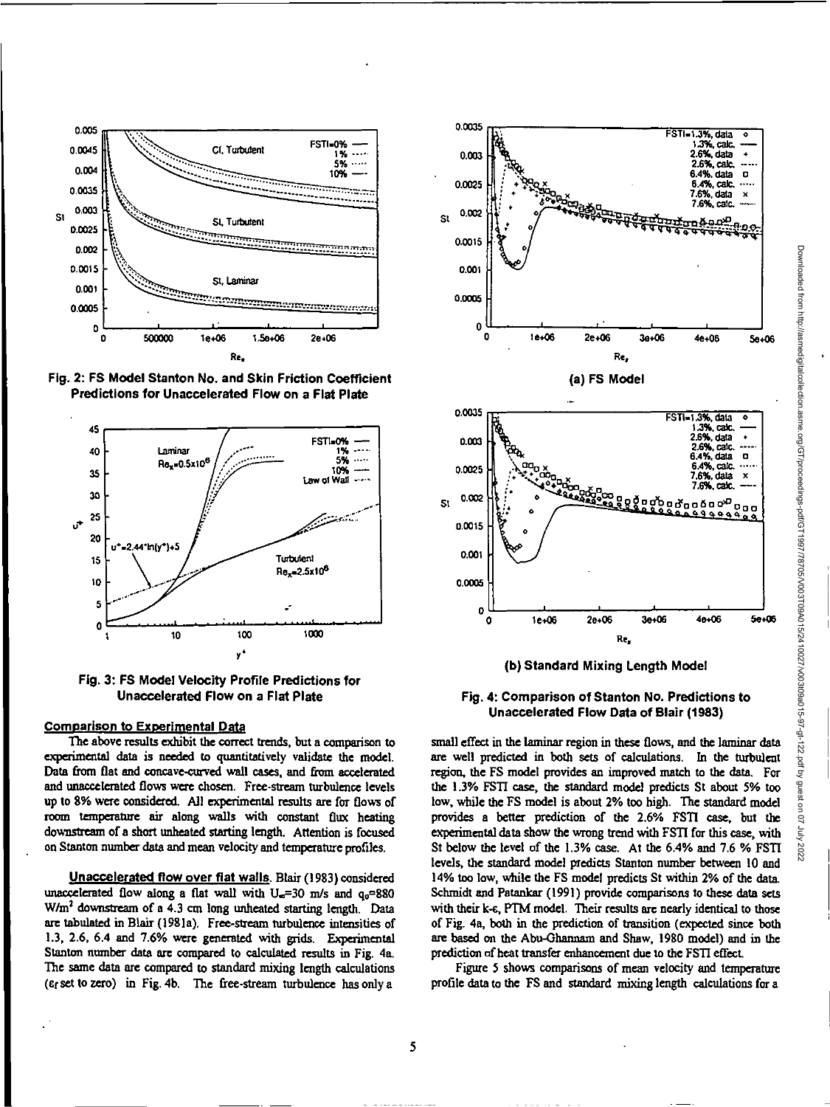

**Fig. 2: FS Model Stanton No. and Skin Friction Coefficient Predictions for Unaccelerated Flow on a Flat Plate** 



**Fig. 3: FS Model Velocity Profile Predictions for Unaccelerated Flow on a Flat Plate** 

# **Comparison to Experimental Data**

**The above results exhibit the correct trends, but a comparison to experimental data is needed to quantitatively validate the model. Data from flat and concave-curved wall cases, and from accelerated and unaccelerated flows were chosen. Free-stream turbulence levels up to 8% were considered. All experimental results are for flows of room temperature air along walls with constant flux heating downstream of a short unheated starting length. Attention is focused on Stanton number data and mean velocity and temperature profiles.** 

**Unaccelerated flow over flat walls. Blair (1983) considered**  unaccelerated flow along a flat wall with  $U_{\alpha}$ =30 m/s and  $q_{\alpha}$ =880 **W/m2 downstream of a 4.3 cm long unheated starting length. Data are tabulated in Blair (1981a). Free-stream turbulence intensities of 1.3, 2.6, 6.4 and 7.6% were generated with grids. Experimental Stanton number data are compared to calculated results in Fig. 4a. The same data are compared to standard mixing length calculations**  *(cc* **set to zero) in Fig. 4b. The free-stream turbulence has only a** 



**(b) Standard Mixing Length Model** 

# **Fig. 4: Comparison of Stanton No. Predictions to Unaccelerated Flow Data of Blair (1983)**

**small effect in the laminar region in these flows, and the laminar data are well predicted in both sets of calculations. In the turbulent region, the FS model provides an improved match to the data. For**  the 1.3% FSTI case, the standard model predicts St about 5% too **low, while the FS model is about 2% too high. The standard model provides a better prediction of the 2.6% FSTI case, but the**  experimental data show the wrong trend with FSTI for this case, with **St below the level of the 1.3% case At the 6.4% and 7.6% ESTI levels, the standard model predicts Stanton number between 10 and 14% too low, while the FS model predicts St within 2% of the data. Schmidt and Patankar (1991) provide comparisons to these data sets with their k-c, RIM model. Their results are nearly identical to those of Fig. 4a, both in the prediction of transition (expected since both are based on the Abu-Ghannam and Shaw, 1980 model) and in the prediction of heat transfer enhancement due to the F511 effect** 

**Figure 5 shows comparisons of mean velocity and temperature profile data to the FS and standard mixing length calculations for a**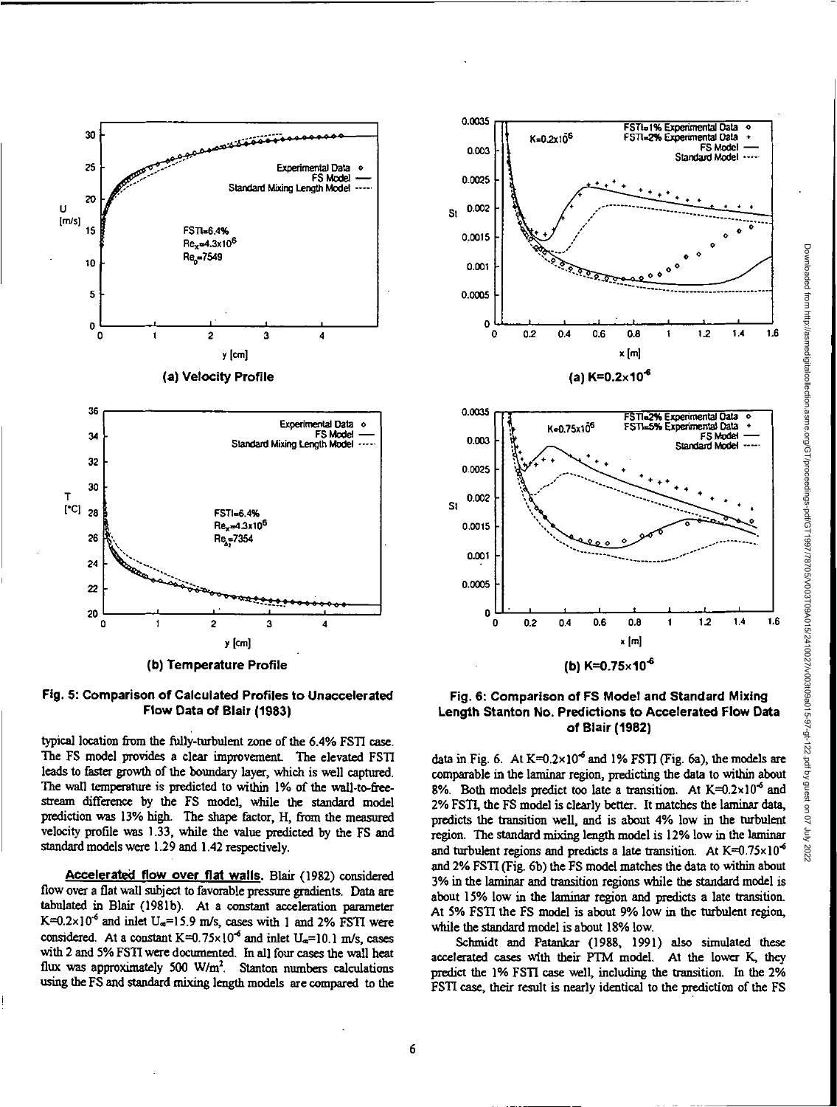



typical location from the fully-turbulent zone of the 6.4% FSTI case The FS model provides a clear improvement The elevated FSTI leads to faster growth of the boundary layer, which is well captured. The wall temperature is predicted to within 1% of the wall-to-freestream difference by the FS model, while the standard model prediction was 13% high. The shape factor, H, from the measured velocity profile was 1.33, while the value predicted by the FS and standard models were 1.29 and 1.42 respectively.

**Accelerated flow over flat walls.** Blair (1982) considered flow over a flat wall subject to favorable pressure gradients. Data are tabulated in Blair (1981b). At a constant acceleration parameter K= $0.2 \times 10^{-6}$  and inlet U<sub>s</sub>=15.9 m/s, cases with 1 and 2% FSTI were considered. At a constant  $K=0.75\times10^{-6}$  and inlet  $U_{\infty}=10.1$  m/s, cases with 2 and 5% FSTI were documented. In all four cases the wall heat flux was approximately 500  $W/m<sup>2</sup>$ . Stanton numbers calculations using the FS and standard mixing length models are compared to the



**Fig. 6: Comparison of FS Model and Standard Mixing Length Stanton No. Predictions to Accelerated Flow Data of Blair (1982)** 

data in Fig. 6. At  $K=0.2\times10^{-6}$  and 1% FSTI (Fig. 6a), the models are comparable in the laminar region, predicting the data to within about 8%. Both models predict too late a transition. At  $K=0.2\times10^{-6}$  and 2% FSTI, the FS model is clearly better. It matches the laminar data, predicts the transition well, and is about 4% low in the turbulent region. The standard mixing length model is 12% low in the laminar and turbulent regions and predicts a late transition. At  $K=0.75\times10^{-6}$ and 2% FSTI (Fig. 6b) the FS model matches the data to within about 3% in the laminar and transition regions while the standard model is about 15% low in the laminar region and predicts a late transition. At 5% FSTI the FS model is about 9% low in the turbulent region, while the standard model is about 18% low.

Schmidt and Patankar (1988, 1991) also simulated these accelerated cases with their PTM model. At the lower K, they predict the 1% FSTI case well, including the transition. In the 2% FSTI case, their result is nearly identical to the prediction of the FS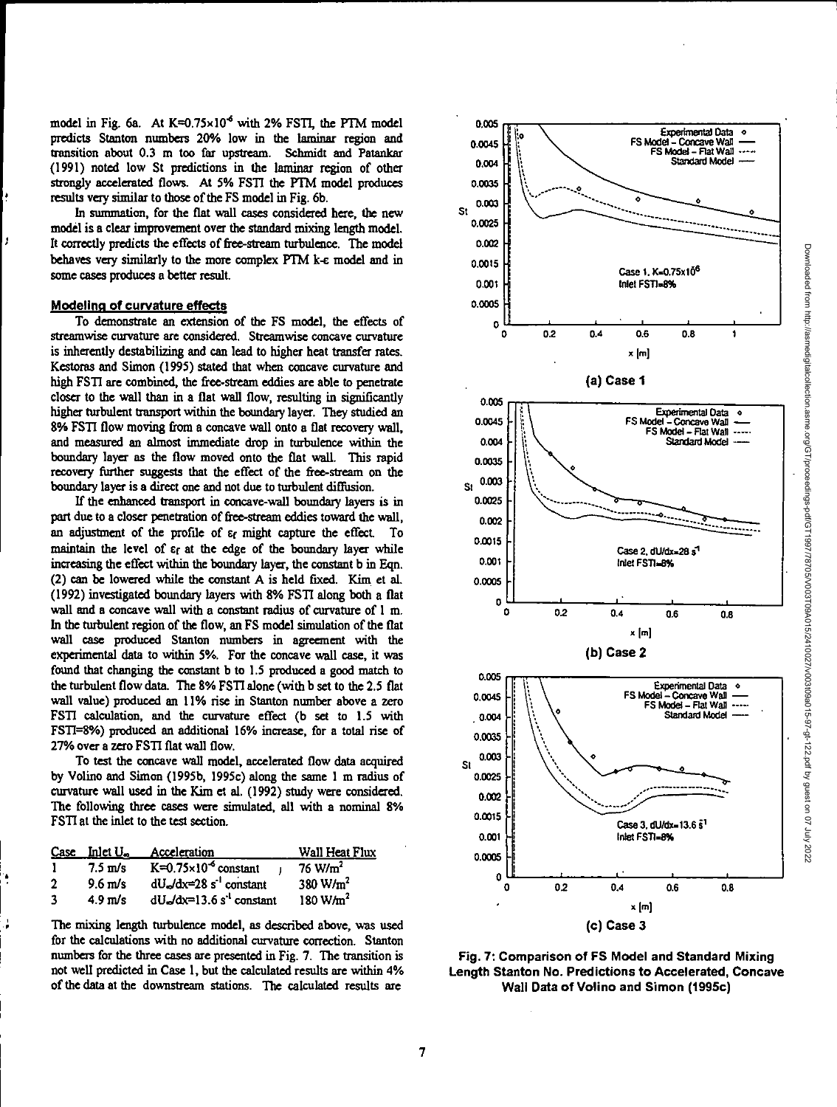model in Fig. 6a. At  $K=0.75\times10^{-6}$  with 2% FSTI, the PTM model predicts Stanton numbers 20% low in the laminar region and transition about 0.3 m too far upstream. Schmidt and Patankar (1991) noted low St predictions in the laminar region of other strongly accelerated flows. At 5% FST1 the PTM model produces results very similar to those of the FS model in Fig. 6b.

In summation, for the flat wall cases considered here, the new model is a clear improvement over the standard mixing length model. It correctly predicts the effects of free-stream turbulence. The model behaves very similarly to the more complex PTM k-c model and in some cases produces a better result.

### **Modeling of curvature effects**

To demonstrate an extension of the FS model, the effects of streamwise curvature are considered. Streamwise concave curvature is inherently destabilizing and can lead to higher heat transfer rates. Kestoras and Simon (1995) stated that when concave curvature and high FSTI are combined, the free-stream eddies are able to penetrate closer to the wall than in a flat wall flow, resulting in significantly higher turbulent transport within the boundary layer. They studied an 8% FSTI flow moving from a concave wall onto a flat recovery wall, and measured an almost immediate drop in turbulence within the boundary layer as the flow moved onto the flat wall. This rapid recovery further suggests that the effect of the free-stream on the boundary layer is a direct one and not due to turbulent diffusion.

If the chanced transport in concave-wall boundary layers is in part due to a closer penetration of free-stream eddies toward the wall, an adjustment of the profile of  $\varepsilon_f$  might capture the effect. To maintain the level of  $\varepsilon_f$  at the edge of the boundary layer while increasing the effect within the boundary layer, the constant b in Eqn. (2) can be lowered while the constant A is held fixed. Kim et al. (1992) investigated boundary layers with 8% FSTI along both a flat wall and a concave wall with a constant radius of curvature of 1 m. In the turbulent region of the flow, an FS model simulation of the flat wall case produced Stanton numbers in agreement with the experimental data to within 5%. For the concave wall case, it was found that changing the constant b to 1.5 produced a good match to the turbulent flow data. The 8% FSTI alone (with b set to the 2.5 fiat wall value) produced an 11% rise in Stanton number above a zero FSTI calculation, and the curvature effect (b set to 1.5 with FSTI=8%) produced an additional 16% increase, for a total rise of 27% over a zero FST1 flat wall flow.

To test the concave wall model, accelerated flow data acquired by Volino and Simon (1995b, I995c) along the same 1 m radius of curvature wall used in the Kim et al. (1992) study were considered. The following three cases were simulated, all with a nominal 8% FSTI at the inlet to the test section.

|    | $Case$ Inlet $U_{\infty}$ | Acceleration                                | Wall Heat Flux     |
|----|---------------------------|---------------------------------------------|--------------------|
| -1 | $7.5 \text{ m/s}$         | $K=0.75\times10^{-6}$ constant              | $76 \text{ W/m}^2$ |
| ,  | $9.6$ m/s                 | $dU_{\rm e}/dx=28$ s <sup>-1</sup> constant | 380 $W/m2$         |
| 3  | $4.9 \text{ m/s}$         | $dUe/dx=13.6 s-1 constant$                  | 180 $W/m2$         |

The mixing length turbulence model, as described above, was used for the calculations with no additional curvature correction. Stanton numbers for the three cases are presented in Fig. 7. The transition is not well predicted in Case 1, but the calculated results are within 4% of the data at the downstream stations. The calculated results are



**Fig. 7: Comparison of FS Model and Standard Mixing Length Stanton No. Predictions to Accelerated, Concave Wall Data of Volino and Simon (1995c)**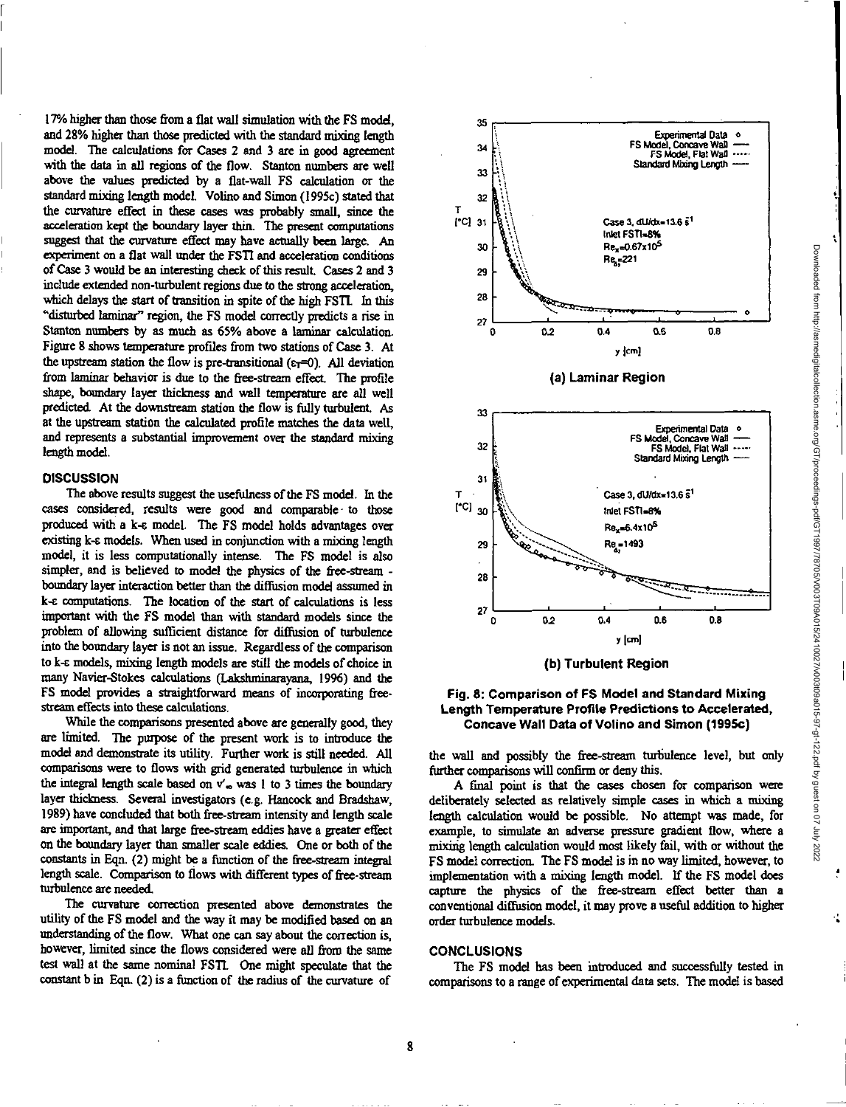17% higher than those from a flat wall simulation with the FS model, and 28% higher than those predicted with the standard mixing length model. The calculations for Cases 2 and 3 are in good agreement with the data in all regions of the flow. Stanton numbers are well above the values predicted by a flat-wall FS calculation or the standard mixing length model. Volino and Simon (1995c) stated that the curvature effect in these cases was probably small, since the acceleration kept the boundary layer thin. The present computations suggest that the curvature effect may *have* actually been large. An experiment on a flat wall under the FST1 and acceleration conditions of Case 3 would be an interesting check of this result. Cases 2 and 3 include extended non-turbulent regions *due to* the strong acceleration, which delays the start of transition in spite of the high FSTL In this "disturbed laminar" region, the FS model correctly predicts a rise in Stanton numbers by as much as 65% above a laminar calculation. Figure 8 shows temperature profiles from two stations of Case 3. At the upstream station the flow is pre-transitional  $(\epsilon_T=0)$ . All deviation from laminar behavior is due to the free-stream effect. The profile shape, boundary layer thickness and wall temperature are all well predicted. At the downstream station the flow is fully turbulent. As at the upstream station the calculated profile matches the data well, and represents a substantial improvement over the standard mixing length model.

# **DISCUSSION**

The above results suggest the usefulness of the FS model. In the cases considered, results were good and comparable to those produced with a k-c model. The FS model holds advantages over existing k-c models. When used in conjunction with a mixing length model, it is less computationally intense. The FS model is also simpler, and is believed to model the physics of the free-stream boundary layer interaction better than the diffusion model assumed in k-c computations. The location of the start of calculations is less important with the FS model than with standard models since the problem of allowing sufficient distance for diffusion of turbulence into the boundary layer is not an issue. Regardless of the comparison to k-c models, mixing length models are still the models of choice in many Navier-Stokes calculations (Laksluninarayana, 19%) and the FS model provides a straightforward means of incorporating freestream effects into these calculations.

While the comparisons presented above are generally good, they are limited. The purpose of the present work is to introduce the model and demonstrate its utility. Further work is still needed. All comparisons were to flows with grid generated turbulence in which the integral length scale based on  $v'_\infty$  was 1 to 3 times the boundary layer thickness. Several investigators (e.g. Hancock and Bradshaw, 1989) have concluded that both free-stream intensity and length scale are important, and that large free-stream eddies have a greater effect on the boundary layer than smaller scale eddies. One or both of the constants in Eqn. (2) might be a function of the free-stream integral length scale. Comparison to flows with different types of free-stream turbulence are needed.

The curvature correction presented above demonstrates the utility of the FS model and the way it may be modified based on an understanding of the flow. What one can say about the correction is, however, limited since the flows considered were all from the same test wall at the same nominal FSTI. One might speculate that the constant b in Eqn. (2) is a fimction of the radius of the curvature of





the wall and possibly the free-stream turbulence level, but only further comparisons will confirm or deny this.

A final point is that the cases chosen for comparison were deliberately selected as relatively simple cases in which a mixing length calculation would be possible. No attempt was made, for example, to simulate an adverse pressure gradient flow, where a mixing length calculation would most likely fail, with or without the FS model correction. The FS model is in no way limited, however, to implementation with a mixing length model. If the FS model does capture the physics of the free-stream effect better than a conventional diffusion model, it may prove a useful addition to higher order turbulence models.

#### **CONCLUSIONS**

The FS model has been introduced and successfully tested in comparisons to a range of experimental data sets. The model is based